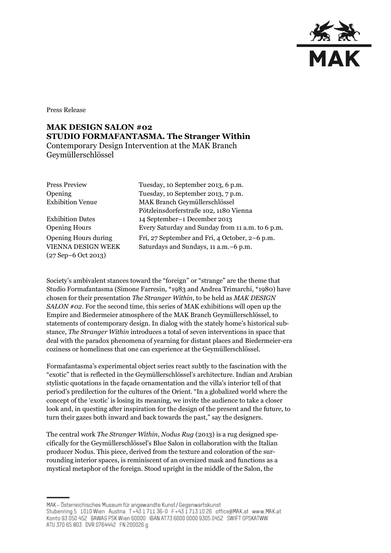

Press Release

## **MAK DESIGN SALON #02 STUDIO FORMAFANTASMA. The Stranger Within** Contemporary Design Intervention at the MAK Branch Geymüllerschlössel

Opening Hours during VIENNA DESIGN WEEK (27 Sep–6 Oct 2013)

Press Preview Tuesday, 10 September 2013, 6 p.m. Opening Tuesday, 10 September 2013, 7 p.m. Exhibition Venue MAK Branch Geymüllerschlössel Pötzleinsdorferstraße 102, 1180 Vienna Exhibition Dates 14 September–1 December 2013 Opening Hours Every Saturday and Sunday from 11 a.m. to 6 p.m. Fri, 27 September and Fri, 4 October, 2–6 p.m. Saturdays and Sundays, 11 a.m.–6 p.m.

Society's ambivalent stances toward the "foreign" or "strange" are the theme that Studio Formafantasma (Simone Farresin, \*1983 and Andrea Trimarchi, \*1980) have chosen for their presentation *The Stranger Within,* to be held as *MAK DESIGN SALON #02.* For the second time, this series of MAK exhibitions will open up the Empire and Biedermeier atmosphere of the MAK Branch Geymüllerschlössel, to statements of contemporary design. In dialog with the stately home's historical substance, *The Stranger Within* introduces a total of seven interventions in space that deal with the paradox phenomena of yearning for distant places and Biedermeier-era coziness or homeliness that one can experience at the Geymüllerschlössel.

Formafantasma's experimental object series react subtly to the fascination with the "exotic" that is reflected in the Geymüllerschlössel's architecture. Indian and Arabian stylistic quotations in the façade ornamentation and the villa's interior tell of that period's predilection for the cultures of the Orient. "In a globalized world where the concept of the 'exotic' is losing its meaning, we invite the audience to take a closer look and, in questing after inspiration for the design of the present and the future, to turn their gazes both inward and back towards the past," say the designers.

The central work *The Stranger Within, Nodus Rug* (2013) is a rug designed specifically for the Geymüllerschlössel's Blue Salon in collaboration with the Italian producer Nodus. This piece, derived from the texture and coloration of the surrounding interior spaces, is reminiscent of an oversized mask and functions as a mystical metaphor of the foreign. Stood upright in the middle of the Salon, the

MAK – Österreichisches Museum für angewandte Kunst/Gegenwartskunst Stubenring 5 1010 Wien Austria T+43 1711 36-0 F+43 1713 10 26 office@MAK.at www.MAK.at Konto 93 050 452 BAWAG PSK Wien 60000 IBAN AT73 6000 0000 9305 0452 SWIFT OPSKATWW ATU 370 65 803 DVR 0764442 FN 200026 g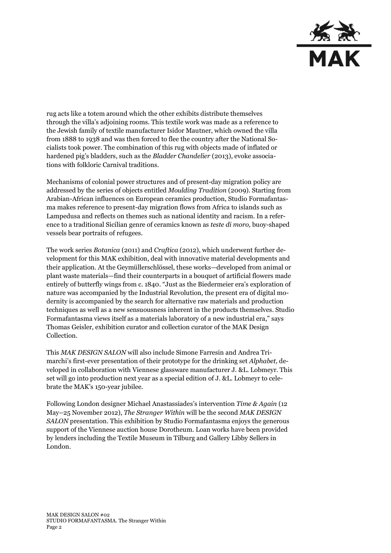

rug acts like a totem around which the other exhibits distribute themselves through the villa's adjoining rooms. This textile work was made as a reference to the Jewish family of textile manufacturer Isidor Mautner, which owned the villa from 1888 to 1938 and was then forced to flee the country after the National Socialists took power. The combination of this rug with objects made of inflated or hardened pig's bladders, such as the *Bladder Chandelier* (2013), evoke associations with folkloric Carnival traditions.

Mechanisms of colonial power structures and of present-day migration policy are addressed by the series of objects entitled *Moulding Tradition* (2009). Starting from Arabian-African influences on European ceramics production, Studio Formafantasma makes reference to present-day migration flows from Africa to islands such as Lampedusa and reflects on themes such as national identity and racism. In a reference to a traditional Sicilian genre of ceramics known as *teste di moro,* buoy-shaped vessels bear portraits of refugees.

The work series *Botanica* (2011) and *Craftica* (2012), which underwent further development for this MAK exhibition, deal with innovative material developments and their application. At the Geymüllerschlössel, these works—developed from animal or plant waste materials—find their counterparts in a bouquet of artificial flowers made entirely of butterfly wings from c. 1840. "Just as the Biedermeier era's exploration of nature was accompanied by the Industrial Revolution, the present era of digital modernity is accompanied by the search for alternative raw materials and production techniques as well as a new sensuousness inherent in the products themselves. Studio Formafantasma views itself as a materials laboratory of a new industrial era," says Thomas Geisler, exhibition curator and collection curator of the MAK Design Collection.

This *MAK DESIGN SALON* will also include Simone Farresin and Andrea Trimarchi's first-ever presentation of their prototype for the drinking set *Alphabet,* developed in collaboration with Viennese glassware manufacturer J. &L. Lobmeyr. This set will go into production next year as a special edition of J. &L. Lobmeyr to celebrate the MAK's 150-year jubilee.

Following London designer Michael Anastassiades's intervention *Time & Again* (12 May–25 November 2012), *The Stranger Within* will be the second *MAK DESIGN SALON* presentation*.* This exhibition by Studio Formafantasma enjoys the generous support of the Viennese auction house Dorotheum. Loan works have been provided by lenders including the Textile Museum in Tilburg and Gallery Libby Sellers in London.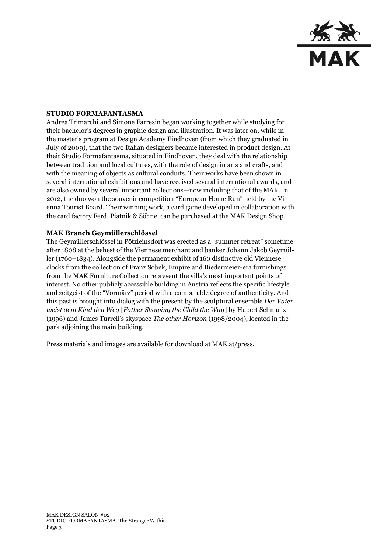

## **STUDIO FORMAFANTASMA**

Andrea Trimarchi and Simone Farresin began working together while studying for their bachelor's degrees in graphic design and illustration. It was later on, while in the master's program at Design Academy Eindhoven (from which they graduated in July of 2009), that the two Italian designers became interested in product design. At their Studio Formafantasma, situated in Eindhoven, they deal with the relationship between tradition and local cultures, with the role of design in arts and crafts, and with the meaning of objects as cultural conduits. Their works have been shown in several international exhibitions and have received several international awards, and are also owned by several important collections—now including that of the MAK. In 2012, the duo won the souvenir competition "European Home Run" held by the Vienna Tourist Board. Their winning work, a card game developed in collaboration with the card factory Ferd. Piatnik & Söhne, can be purchased at the MAK Design Shop.

## **MAK Branch Geymüllerschlössel**

The Geymüllerschlössel in Pötzleinsdorf was erected as a "summer retreat" sometime after 1808 at the behest of the Viennese merchant and banker Johann Jakob Geymüller (1760–1834). Alongside the permanent exhibit of 160 distinctive old Viennese clocks from the collection of Franz Sobek, Empire and Biedermeier-era furnishings from the MAK Furniture Collection represent the villa's most important points of interest. No other publicly accessible building in Austria reflects the specific lifestyle and zeitgeist of the "Vormärz" period with a comparable degree of authenticity. And this past is brought into dialog with the present by the sculptural ensemble *Der Vater weist dem Kind den Weg* [*Father Showing the Child the Way*] by Hubert Schmalix (1996) and James Turrell's skyspace *The other Horizon* (1998/2004), located in the park adjoining the main building.

Press materials and images are available for download at MAK.at/press.